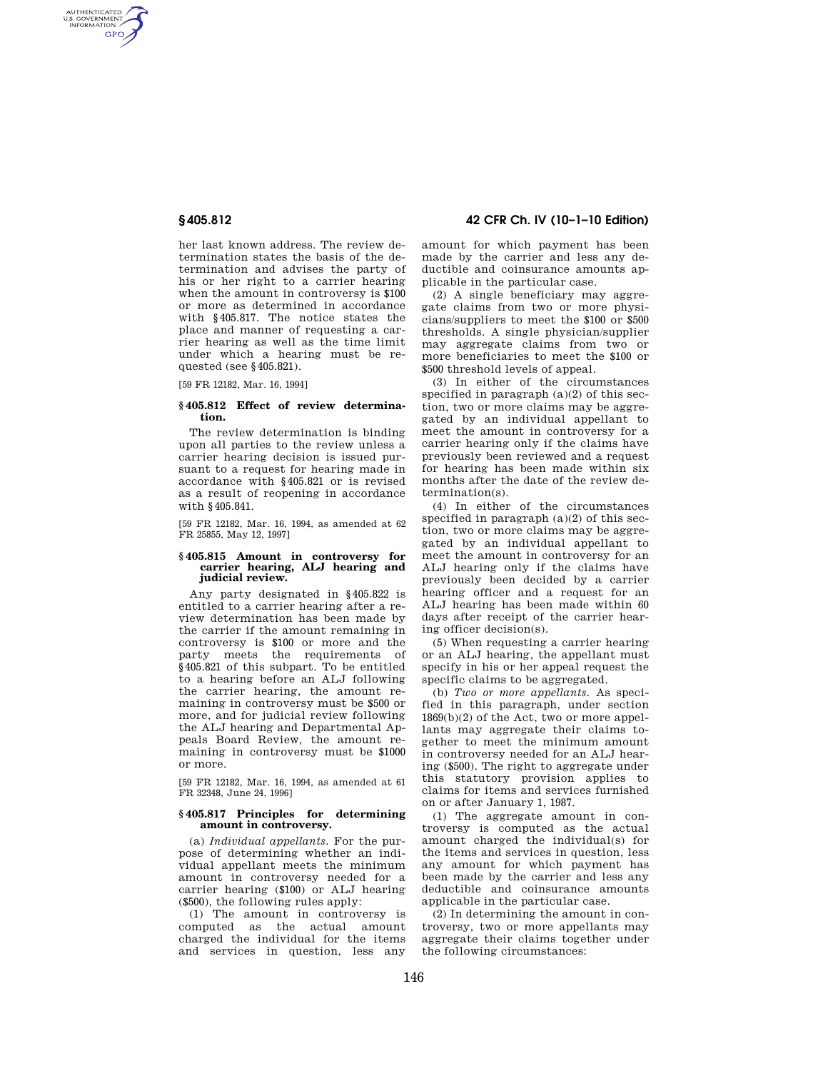AUTHENTICATED<br>U.S. GOVERNMENT<br>INFORMATION GPO

> her last known address. The review determination states the basis of the determination and advises the party of his or her right to a carrier hearing when the amount in controversy is \$100 or more as determined in accordance with §405.817. The notice states the place and manner of requesting a carrier hearing as well as the time limit under which a hearing must be requested (see §405.821).

[59 FR 12182, Mar. 16, 1994]

#### **§ 405.812 Effect of review determination.**

The review determination is binding upon all parties to the review unless a carrier hearing decision is issued pursuant to a request for hearing made in accordance with §405.821 or is revised as a result of reopening in accordance with §405.841.

[59 FR 12182, Mar. 16, 1994, as amended at 62 FR 25855, May 12, 1997]

### **§ 405.815 Amount in controversy for carrier hearing, ALJ hearing and judicial review.**

Any party designated in §405.822 is entitled to a carrier hearing after a review determination has been made by the carrier if the amount remaining in controversy is \$100 or more and the party meets the requirements of §405.821 of this subpart. To be entitled to a hearing before an ALJ following the carrier hearing, the amount remaining in controversy must be \$500 or more, and for judicial review following the ALJ hearing and Departmental Appeals Board Review, the amount remaining in controversy must be \$1000 or more.

[59 FR 12182, Mar. 16, 1994, as amended at 61 FR 32348, June 24, 1996]

#### **§ 405.817 Principles for determining amount in controversy.**

(a) *Individual appellants.* For the purpose of determining whether an individual appellant meets the minimum amount in controversy needed for a carrier hearing (\$100) or ALJ hearing (\$500), the following rules apply:

(1) The amount in controversy is computed as the actual amount charged the individual for the items and services in question, less any

**§ 405.812 42 CFR Ch. IV (10–1–10 Edition)** 

amount for which payment has been made by the carrier and less any deductible and coinsurance amounts applicable in the particular case.

(2) A single beneficiary may aggregate claims from two or more physicians/suppliers to meet the \$100 or \$500 thresholds. A single physician/supplier may aggregate claims from two or more beneficiaries to meet the \$100 or \$500 threshold levels of appeal.

(3) In either of the circumstances specified in paragraph (a)(2) of this section, two or more claims may be aggregated by an individual appellant to meet the amount in controversy for a carrier hearing only if the claims have previously been reviewed and a request for hearing has been made within six months after the date of the review determination(s).

(4) In either of the circumstances specified in paragraph  $(a)(2)$  of this section, two or more claims may be aggregated by an individual appellant to meet the amount in controversy for an ALJ hearing only if the claims have previously been decided by a carrier hearing officer and a request for an ALJ hearing has been made within 60 days after receipt of the carrier hearing officer decision(s).

(5) When requesting a carrier hearing or an ALJ hearing, the appellant must specify in his or her appeal request the specific claims to be aggregated.

(b) *Two or more appellants.* As specified in this paragraph, under section 1869(b)(2) of the Act, two or more appellants may aggregate their claims together to meet the minimum amount in controversy needed for an ALJ hearing (\$500). The right to aggregate under this statutory provision applies to claims for items and services furnished on or after January 1, 1987.

(1) The aggregate amount in controversy is computed as the actual amount charged the individual(s) for the items and services in question, less any amount for which payment has been made by the carrier and less any deductible and coinsurance amounts applicable in the particular case.

(2) In determining the amount in controversy, two or more appellants may aggregate their claims together under the following circumstances: